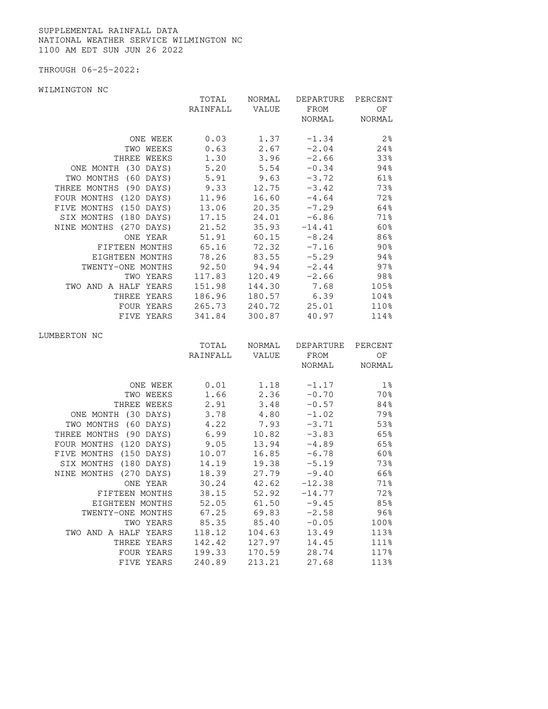SUPPLEMENTAL RAINFALL DATA NATIONAL WEATHER SERVICE WILMINGTON NC 1100 AM EDT SUN JUN 26 2022

THROUGH 06-25-2022:

WILMINGTON NC

|                        | TOTAL          | NORMAL | DEPARTURE     | PERCENT        |
|------------------------|----------------|--------|---------------|----------------|
|                        | RAINFALL       | VALUE  | FROM          | ΟF             |
|                        |                |        | NORMAL        | NORMAL         |
|                        |                |        |               |                |
| ONE WEEK               | 0.03           | 1.37   | $-1.34$       | 2 <sup>°</sup> |
| TWO WEEKS              | 0.63           | 2.67   | $-2.04$       | 24%            |
| THREE WEEKS            | 1.30           | 3.96   | $-2.66$       | 33%            |
| ONE MONTH (30 DAYS)    | 5.20           | 5.54   | $-0.34$       | 94%            |
| TWO MONTHS (60 DAYS)   | 5.91           | 9.63   | $-3.72$       | 61%            |
| THREE MONTHS (90 DAYS) | 9.33           | 12.75  | $-3.42$       | 73%            |
| FOUR MONTHS (120 DAYS) | 11.96          | 16.60  | $-4.64$       | 72%            |
| FIVE MONTHS (150 DAYS) | 13.06          | 20.35  | $-7.29$       | 64%            |
| SIX MONTHS (180 DAYS)  | 17.15          | 24.01  | $-6.86$       | 71%            |
| NINE MONTHS (270 DAYS) | 21.52          | 35.93  | $-14.41$      | 60%            |
| ONE YEAR               | 51.91          | 60.15  | $-8.24$       | 86%            |
| FIFTEEN MONTHS         | 65.16          | 72.32  | $-7.16$       | 90%            |
| EIGHTEEN MONTHS        | 78.26          | 83.55  | $-5.29$       | 94%            |
| TWENTY-ONE MONTHS      | 92.50          | 94.94  | $-2.44$       | 97%            |
| TWO YEARS              | 117.83         | 120.49 | $-2.66$       | 98%            |
| TWO AND A HALF YEARS   | 151.98         | 144.30 | 7.68          | 105%           |
| THREE YEARS            | 186.96         | 180.57 | 6.39          | 104%           |
| FOUR YEARS             | 265.73         | 240.72 | 25.01         | 110%           |
| FIVE YEARS             | 341.84         | 300.87 | 40.97         | 114%           |
|                        |                |        |               |                |
| LUMBERTON NC           |                |        |               |                |
|                        | TOTAL          | NORMAL | DEPARTURE     | PERCENT        |
|                        | RAINFALL VALUE |        | FROM          | ΟF             |
|                        |                |        | NORMAL NORMAL |                |
|                        |                |        |               |                |
| ONE WEEK               | 0.01           | 1.18   | $-1.17$       | $1\%$          |
| TWO WEEKS              | 1.66           | 2.36   | $-0.70$       | 70%            |
| THREE WEEKS            | 2.91           | 3.48   | $-0.57$       | 84%            |
| ONE MONTH (30 DAYS)    | 3.78           | 4.80   | $-1.02$       | 79%            |
| TWO MONTHS (60 DAYS)   | 4.22           | 7.93   | $-3.71$       | 53%            |
| THREE MONTHS (90 DAYS) | 6.99           | 10.82  | $-3.83$       | 65%            |
| FOUR MONTHS (120 DAYS) | 9.05           | 13.94  | $-4.89$       | 65%            |
| FIVE MONTHS (150 DAYS) | 10.07          | 16.85  | $-6.78$       | 60%            |
| SIX MONTHS (180 DAYS)  | 14.19          | 19.38  | $-5.19$       | 73%            |
| NINE MONTHS (270 DAYS) | 18.39          | 27.79  | $-9.40$       | 66%            |
| ONE YEAR               | 30.24          | 42.62  | $-12.38$      | 71%            |
| FIFTEEN MONTHS         | 38.15          | 52.92  | $-14.77$      | 72%            |
| EIGHTEEN MONTHS        | 52.05          | 61.50  | $-9.45$       | 85%            |
| TWENTY-ONE MONTHS      | 67.25          | 69.83  | $-2.58$       | $96\%$         |
| TWO YEARS              | 85.35          | 85.40  | $-0.05$       | 100%           |
| TWO AND A HALF YEARS   | 118.12         | 104.63 | 13.49         | 113%           |
| THREE YEARS            |                |        |               |                |
|                        | 142.42         | 127.97 | 14.45         | 111%           |

FIVE YEARS 240.89 213.21 27.68 113%